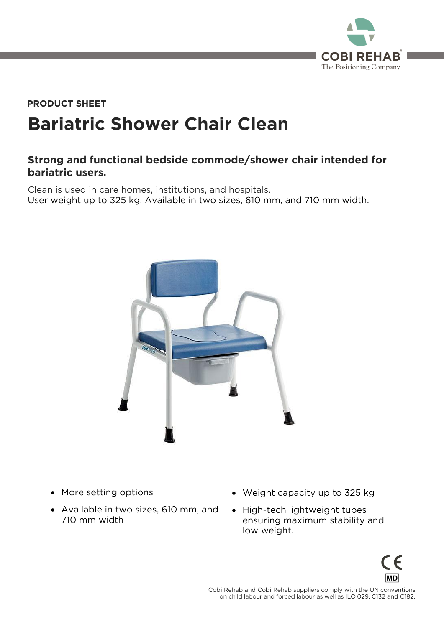

## **Bariatric Shower Chair Clean PRODUCT SHEET**

## **Strong and functional bedside commode/shower chair intended for bariatric users.**

Clean is used in care homes, institutions, and hospitals.<br>User weight up to 325 kg. Available in two sizes, 610 mm, and 710 mm width. User weight up to 325 kg. Available in two sizes, 610 mm, and 710 mm width.



- More setting options
- Available in two sizes, 610 mm, and 710 mm width
- Weight capacity up to 325 kg
- High-tech lightweight tubes<br>ensuring maximum stability and ensuring maximum stability and low weight.



 $\frac{1}{2}$  conchild labour and forced labour as well as II 0.029 C132 and C182 on child labour and forced labour as well as ILO 029, C132 and C182.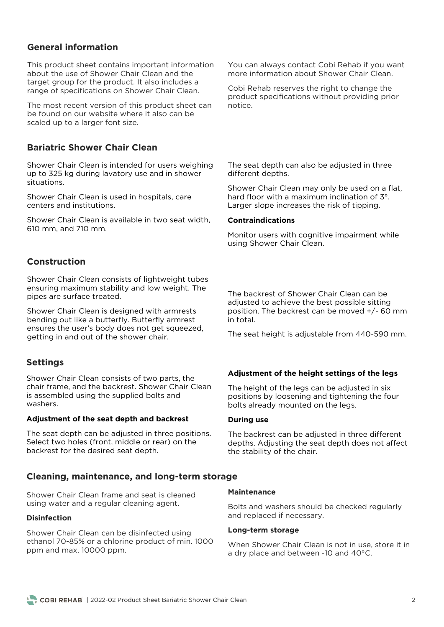## **General information**

This product sheet contains important information about the use of Shower Chair Clean and the target group for the product. It also includes a range of specifications on Shower Chair Clean. range of specifications on Shower Chair Clean.

The most recent version of this product sheet can be found on our website where it also can be scaled up to a larger font size. scaled up to a larger font size.

## **Bariatric Shower Chair Clean**

Shower Chair Clean is intended for users weighing<br>up to 325 kg during lavatory use and in shower situations. situations.

Shower Chair Clean is used in hospitals, care centers and institutions. centers and institutions.

Shower Chair Clean is available in two seat width, 610 mm, and 710 mm. 610 mm, and 710 mm.

## **Construction**

Shower Chair Clean consists of lightweight tubes<br>ensuring maximum stability and low weight. The pipes are surface treated. pipes are surface treated.

Shower Chair Clean is designed with armrests<br>bending out like a butterfly. Butterfly armrest ensures the user's body does not get squeezed, getting in and out of the shower chair. getting in and out of the shower chair.

## **Settings**

Shower Chair Clean consists of two parts, the is assembled using the supplied bolts and washers.

#### **Adjustment of the seat depth and backrest**

The seat depth can be adjusted in three positions.<br>Select two holes (front, middle or rear) on the backrest for the desired seat depth. backrest for the desired seat depth.

## **Cleaning, maintenance, and long-term storage**

Shower Chair Clean frame and seat is cleaned using water and a regular cleaning agent.

#### **Disinfection**

Shower Chair Clean can be disinfected using<br>ethanol 70-85% or a chlorine product of min. 1000 ppm and max. 10000 ppm. ppm and max. 10000 ppm.

You can always contact Cobi Rehab if you want more information about Shower Chair Clean. more information about Shower Chair Clean.

Cobi Rehab reserves the right to change the product specifications without providing prior notice

The seat depth can also be adjusted in three different depths. different dependents.

Shower Chair Clean may only be used on a flat, hard floor with a maximum inclination of  $3^\circ$ . hard floor with a maximum inclination of 3°. Larger slope increases the risk of tipping.

#### **Contraindications**

Monitor users with cognitive impairment while using Shower Chair Clean. using Shower Chair Clean.

The backrest of Shower Chair Clean can be adjusted to achieve the best possible sitting position. The backrest can be moved  $+/-$  60 mm in total.

The seat height is adjustable from 440-590 mm.

#### **Adjustment of the height settings of the legs**

The height of the legs can be adjusted in six<br>positions by loosening and tightening the four bolts already mounted on the legs. bolts already mounted on the legs.

#### **During use**

The backrest can be adjusted in three different<br>depths. Adjusting the seat depth does not affect the stability of the chair. the stability of the chair.

#### **Maintenance**

Bolts and maintiful should be checked regularly and replaced if necessary.

#### **Long-term storage**

When Shower Chair Clean is not in use, store it in<br>a dry place and between -10 and 40°C. a dry place and between -10 and 40°C.